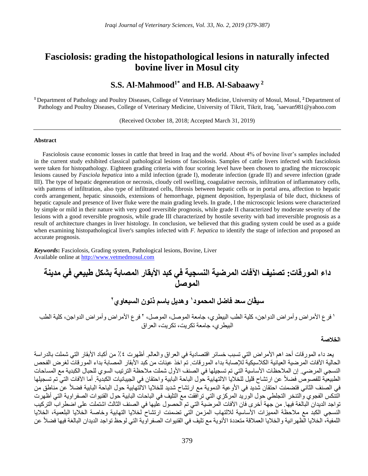# **Fasciolosis: grading the histopathological lesions in naturally infected bovine liver in Mosul city**

# **S.S. Al-Mahmood1\* and H.B. Al-Sabaawy <sup>2</sup>**

<sup>1</sup> Department of Pathology and Poultry Diseases, College of Veterinary Medicine, University of Mosul, Mosul, <sup>2</sup> Department of Pathology and Poultry Diseases, College of Veterinary Medicine, University of Tikrit, Tikrit, Iraq, \*saevan981@yahoo.com

(Received October 18, 2018; Accepted March 31, 2019)

#### **Abstract**

Fasciolosis cause economic losses in cattle that breed in Iraq and the world. About 4% of bovine liver's samples included in the current study exhibited classical pathological lesions of fasciolosis. Samples of cattle livers infected with fasciolosis were taken for histopathology. Eighteen grading criteria with four scoring level have been chosen to grading the microscopic lesions caused by *Fasciola hepatica* into a mild infection (grade I), moderate infection (grade II) and severe infection (grade III). The type of hepatic degeneration or necrosis, cloudy cell swelling, coagulative necrosis, infiltration of inflammatory cells, with patterns of infiltration, also type of infiltrated cells, fibrosis between hepatic cells or in portal area, affection to hepatic cords arrangement, hepatic sinusoids, extensions of hemorrhage, pigment deposition, hyperplasia of bile duct, thickness of hepatic capsule and presence of liver fluke were the main grading levels. In grade, I the microscopic lesions were characterized by simple or mild in their nature with very good reversible prognosis, while grade II characterized by moderate severity of the lesions with a good reversible prognosis, while grade III characterized by hostile severity with bad irreversible prognosis as a result of architecture changes in liver histology. In conclusion, we believed that this grading system could be used as a guide when examining histopathological liver's samples infected with *F. hepatica* to identify the stage of infection and proposed an accurate prognosis.

*Keywords***:** Fasciolosis, Grading system, Pathological lesions, Bovine, Liver Available online at [http://www.vetmedmosul.com](http://www.vetmedmosul.org/ijvs)

**داء المورقات: تصنيف اآلفات المرضية النسجية في كبد األبقار المصابة بشكل طبيعي في مدينة الموصل**

**2 وهديل باسم ذنون السبعاوي <sup>1</sup> سيڤان سعد فاضل المحمود**

' فرع الأمراض وأمراض الدواجن، كلية الطب البيطري، جامعة الموصل، الموصل، ' فرع الأمراض وأمراض الدواجن، كلية الطب البيطري، جامعة تكريت، تكريت، العراق

## **الخالصة**

يعد داء المورقات أحد اهم الأمراض التي تسبب خسائر اقتصادية في العراق والعالم. أظهرت ٤٪ من أكباد الأبقار التي شملت بالدراسة الحالية الآفات المرضية العيانية الكلاسيكية للإصابة بداء المورقات. تم اخذ عينات من كبد الأبقار المصابة بداء المورقات لغرض الفحص النسجي المرضي. إن الملاحظات الأساسية التي تم تسجيلها في الصنف الأول شملت ملاحظة الترتيب السوي للحبال الكبدية مع المساحات الطبيعية للفصوص فضالً عن ارتشاح قليل للخاليا االلتهابية حول الباحة البابية واحتقان في الجيبانيات الكبدية. أما اآلفات التي تم تسجيلها في الصنف الثاني فتضمنت احتقان شديد في الأوعية الدموية مع ارتشاح شديد للخلايا الالتّهابية حول الباحة البابية فضلاً عنّ مناطق من التنكس الفجوي والتنخر التجلطي حول الوريد المركزي التي ترافقت مع التليف في الباحات البابية حول القنيوات الصفراوية التي أظهرت تواجد الديدان البالغة فيها. من جهة أخرى فان الآفات المرضية التي تم الحصول عليها في الصنف الثالث اشتملت على اضطراب التركيب النسجي الكبد مع مالحظة المميزات األساسية لاللتهاب المزمن التي تضمنت ارتشاح لخاليا التهابية وخاصة الخاليا البلعمية، الخاليا اللمفية، الخلايا الظهر انية والخلايا العملاقة متعددة الأنوية مع تليف في القنيوات الصفر اوية التي لوحظ تواجد الديدان البالغة فيها فضلاً عن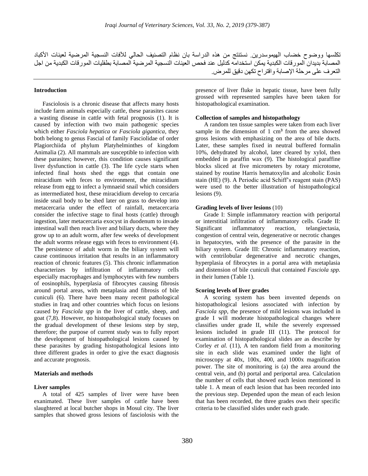## **Introduction**

Fasciolosis is a chronic disease that affects many hosts include farm animals especially cattle, these parasites cause a wasting disease in cattle with fetal prognosis (1). It is caused by infection with two main pathogenic species which either *Fasciola hepatica* or *Fasciola gigantica*, they both belong to genus Fascial of family Fasciolidae of order Plagiorchiida of phylum Platyhelminthes of kingdom Animalia (2). All mammals are susceptible to infection with these parasites; however, this condition causes significant liver dysfunction in cattle (3). The life cycle starts when infected final hosts shed the eggs that contain one miracidium with feces to environment, the miracidium release from egg to infect a lymnaeid snail which considers as intermediated host, these miracidium develop to cercaria inside snail body to be shed later on grass to develop into metacercaria under the effect of rainfall, metacercaria consider the infective stage to final hosts (cattle) through ingestion, later metacercaria exocyst in duodenum to invade intestinal wall then reach liver and biliary ducts, where they grow up to an adult worm, after few weeks of development the adult worms release eggs with feces to environment (4). The persistence of adult worm in the biliary system will cause continuous irritation that results in an inflammatory reaction of chronic features (5). This chronic inflammation characterizes by infiltration of inflammatory cells especially macrophages and lymphocytes with few numbers of eosinophils, hyperplasia of fibrocytes causing fibrosis around portal areas, with metaplasia and fibrosis of bile cuniculi (6). There have been many recent pathological studies in Iraq and other countries which focus on lesions caused by *Fasciola spp* in the liver of cattle, sheep, and goat (7,8). However, no histopathological study focuses on the gradual development of these lesions step by step, therefore; the purpose of current study was to fully report the development of histopathological lesions caused by these parasites by grading histopathological lesions into three different grades in order to give the exact diagnosis and accurate prognosis.

## **Materials and methods**

## **Liver samples**

A total of 425 samples of liver were have been exanimated. These liver samples of cattle have been slaughtered at local butcher shops in Mosul city. The liver samples that showed gross lesions of fasciolosis with the

presence of liver fluke in hepatic tissue, have been fully grossed with represented samples have been taken for histopathological examination.

### **Collection of samples and histopathology**

A random ten tissue samples were taken from each liver sample in the dimension of 1 cm**<sup>3</sup>** from the area showed gross lesions with emphasizing on the area of bile ducts. Later, these samples fixed in neutral buffered formalin 10%, dehydrated by alcohol, later cleared by xylol, then embedded in paraffin wax (9). The histological paraffine blocks sliced at five micrometers by rotary microtome, stained by routine Harris hematoxylin and alcoholic Eosin stain (HE) (9). A Periodic acid Schiff's reagent stain (PAS) were used to the better illustration of histopathological lesions (9).

## **Grading levels of liver lesions** (10)

Grade I: Simple inflammatory reaction with periportal or interstitial infiltration of inflammatory cells. Grade II: Significant inflammatory reaction, telangiectasia, congestion of central vein, degenerative or necrotic changes in hepatocytes, with the presence of the parasite in the biliary system. Grade III: Chronic inflammatory reaction, with centrilobular degenerative and necrotic changes, hyperplasia of fibrocytes in a portal area with metaplasia and distension of bile cuniculi that contained *Fasciola spp.* in their lumen (Table 1).

### **Scoring levels of liver grades**

A scoring system has been invented depends on histopathological lesions associated with infection by *Fasciola spp*, the presence of mild lesions was included in grade I will moderate histopathological changes where classifies under grade II, while the severely expressed lesions included in grade III (11). The protocol for examination of histopathological slides are as describe by Corley *et al.* (11), A ten random field from a monitoring site in each slide was examined under the light of microscopy at 40x, 100x, 400, and 1000x magnification power. The site of monitoring is (a) the area around the central vein, and (b) portal and periportal area. Calculation the number of cells that showed each lesion mentioned in table 1. A mean of each lesion that has been recorded into the previous step. Depended upon the mean of each lesion that has been recorded, the three grades own their specific criteria to be classified slides under each grade.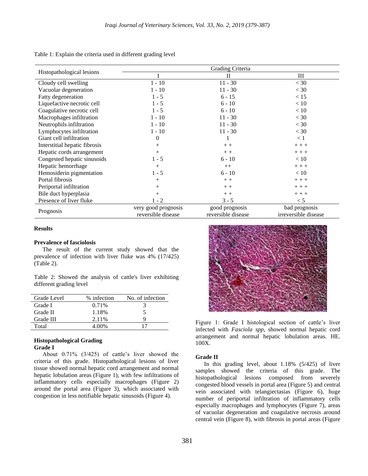Table 1: Explain the criteria used in different grading level

| Histopathological lesions     | Grading Criteria                          |                                      |                                       |
|-------------------------------|-------------------------------------------|--------------------------------------|---------------------------------------|
|                               |                                           | $\mathbf{I}$                         | Ш                                     |
| Cloudy cell swelling          | $1 - 10$                                  | $11 - 30$                            | $<$ 30                                |
| Vacuolar degeneration         | $1 - 10$                                  | $11 - 30$                            | $<$ 30                                |
| Fatty degeneration            | $1 - 5$                                   | $6 - 15$                             | < 15                                  |
| Liquefactive necrotic cell    | $1 - 5$                                   | $6 - 10$                             | < 10                                  |
| Coagulative necrotic cell     | $1 - 5$                                   | $6 - 10$                             | < 10                                  |
| Macrophages infiltration      | $1 - 10$                                  | $11 - 30$                            | $<$ 30                                |
| Neutrophils infiltration      | $1 - 10$                                  | $11 - 30$                            | $<$ 30                                |
| Lymphocytes infiltration      | $1 - 10$                                  | $11 - 30$                            | $<$ 30                                |
| Giant cell infiltration       | $\theta$                                  | ı                                    | $\leq 1$                              |
| Interstitial hepatic fibrosis | $+$                                       | $++$                                 | $++ +$                                |
| Hepatic cords arrangement     | $+$                                       | $+ +$                                | $+ + +$                               |
| Congested hepatic sinusoids   | $1 - 5$                                   | $6 - 10$                             | < 10                                  |
| Hepatic hemorrhage            | $+$                                       | $++$                                 | $+ + +$                               |
| Hemosiderin pigmentation      | $1 - 5$                                   | $6 - 10$                             | < 10                                  |
| Portal fibrosis               | $^{+}$                                    | $+ +$                                | $++ +$                                |
| Periportal infiltration       | $^{+}$                                    | $+ +$                                | $++ +$                                |
| Bile duct hyperplasia         | $+$                                       | $++$                                 | $++ +$                                |
| Presence of liver fluke       | $1 - 2$                                   | $3 - 5$                              | < 5                                   |
| Prognosis                     | very good prognosis<br>reversible disease | good prognosis<br>reversible disease | bad prognosis<br>irreversible disease |

## **Results**

## **Prevalence of fasciolosis**

The result of the current study showed that the prevalence of infection with liver fluke was 4% (17/425) (Table 2).

Table 2: Showed the analysis of cattle's liver exhibiting different grading level

| Grade Level | % infection | No. of infection |
|-------------|-------------|------------------|
| Grade I     | 0.71%       | 3                |
| Grade II    | 1.18%       | C.               |
| Grade III   | 2.11%       | Q                |
| Total       | 4.00%       |                  |

## **Histopathological Grading Grade I**

About 0.71% (3/425) of cattle's liver showed the criteria of this grade. Histopathological lesions of liver tissue showed normal hepatic cord arrangement and normal hepatic lobulation areas (Figure 1), with few infiltrations of inflammatory cells especially macrophages (Figure 2) around the portal area (Figure 3), which associated with congestion in less notifiable hepatic sinusoids (Figure 4).



Figure 1: Grade I histological section of cattle's liver infected with *Fasciola spp*, showed normal hepatic cord arrangement and normal hepatic lobulation areas. HE. 100X.

## **Grade II**

In this grading level, about 1.18% (5/425) of liver samples showed the criteria of this grade. The histopathological lesions composed from severely congested blood vessels in portal area (Figure 5) and central vein associated with telangiectasias (Figure 6), huge number of periportal infiltration of inflammatory cells especially macrophages and lymphocytes (Figure 7), areas of vacuolar degeneration and coagulative necrosis around central vein (Figure 8), with fibrosis in portal areas (Figure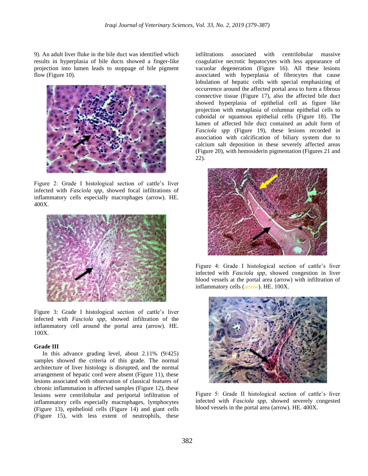9). An adult liver fluke in the bile duct was identified which results in hyperplasia of bile ducts showed a finger-like projection into lumen leads to stoppage of bile pigment flow (Figure 10).



Figure 2: Grade I histological section of cattle's liver infected with *Fasciola spp*, showed focal infiltrations of inflammatory cells especially macrophages (arrow). HE. 400X.



Figure 3: Grade I histological section of cattle's liver infected with *Fasciola spp*, showed infiltration of the inflammatory cell around the portal area (arrow). HE. 100X.

## **Grade III**

In this advance grading level, about 2.11% (9/425) samples showed the criteria of this grade. The normal architecture of liver histology is disrupted, and the normal arrangement of hepatic cord were absent (Figure 11), these lesions associated with observation of classical features of chronic inflammation in affected samples (Figure 12), these lesions were centrilobular and periportal infiltration of inflammatory cells especially macrophages, lymphocytes (Figure 13), epithelioid cells (Figure 14) and giant cells (Figure 15), with less extent of neutrophils, these

infiltrations associated with centrilobular massive coagulative necrotic hepatocytes with less appearance of vacuolar degeneration (Figure 16). All these lesions associated with hyperplasia of fibrocytes that cause lobulation of hepatic cells with special emphasizing of occurrence around the affected portal area to form a fibrous connective tissue (Figure 17), also the affected bile duct showed hyperplasia of epithelial cell as figure like projection with metaplasia of columnar epithelial cells to cuboidal or squamous epithelial cells (Figure 18). The lumen of affected bile duct contained an adult form of *Fasciola spp* (Figure 19), these lesions recorded in association with calcification of biliary system due to calcium salt deposition in these severely affected areas (Figure 20), with hemosiderin pigmentation (Figures 21 and 22).



Figure 4: Grade I histological section of cattle's liver infected with *Fasciola spp*, showed congestion in liver blood vessels at the portal area (arrow) with infiltration of inflammatory cells (arrow). HE. 100X.



Figure 5: Grade II histological section of cattle's liver infected with *Fasciola spp*, showed severely congested blood vessels in the portal area (arrow). HE. 400X.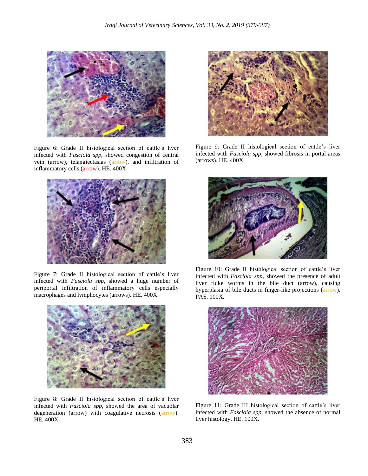

Figure 6: Grade II histological section of cattle's liver infected with *Fasciola spp*, showed congestion of central vein (arrow), telangiectasias (arrow), and infiltration of inflammatory cells (arrow). HE. 400X.



Figure 7: Grade II histological section of cattle's liver infected with *Fasciola spp*, showed a huge number of periportal infiltration of inflammatory cells especially macrophages and lymphocytes (arrows). HE. 400X.



Figure 8: Grade II histological section of cattle's liver infected with *Fasciola spp*, showed the area of vacuolar degeneration (arrow) with coagulative necrosis (arrow). HE. 400X.



Figure 9: Grade II histological section of cattle's liver infected with *Fasciola spp*, showed fibrosis in portal areas (arrows). HE. 400X.



Figure 10: Grade II histological section of cattle's liver infected with *Fasciola spp*, showed the presence of adult liver fluke worms in the bile duct (arrow), causing hyperplasia of bile ducts in finger-like projections (arrow). PAS. 100X.



Figure 11: Grade III histological section of cattle's liver infected with *Fasciola spp*, showed the absence of normal liver histology. HE. 100X.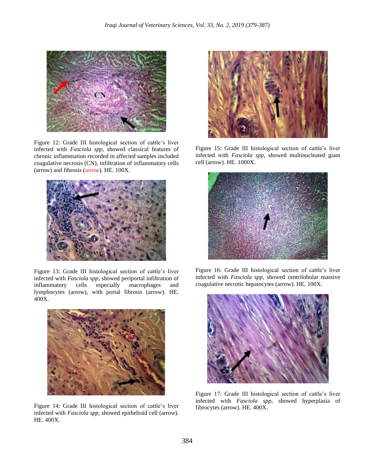

Figure 12: Grade III histological section of cattle's liver infected with *Fasciola spp*, showed classical features of chronic inflammation recorded in affected samples included coagulative necrosis (CN), infiltration of inflammatory cells (arrow) and fibrosis (arrow). HE. 100X.



Figure 13: Grade III histological section of cattle's liver infected with *Fasciola spp*, showed periportal infiltration of inflammatory cells especially macrophages and lymphocytes (arrow), with portal fibrosis (arrow). HE. 400X.



Figure 14: Grade III histological section of cattle's liver infected with *Fasciola spp*, showed epithelioid cell (arrow). HE. 400X.



Figure 15: Grade III histological section of cattle's liver infected with *Fasciola spp*, showed multinucleated giant cell (arrow). HE. 1000X.



Figure 16: Grade III histological section of cattle's liver infected with *Fasciola spp*, showed centrilobular massive coagulative necrotic hepatocytes (arrow). HE. 100X.



Figure 17: Grade III histological section of cattle's liver infected with *Fasciola spp*, showed hyperplasia of fibrocytes (arrow). HE. 400X.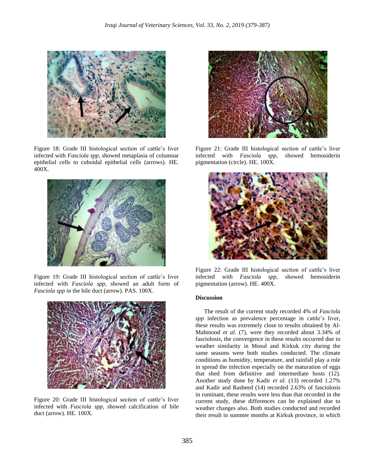

Figure 18: Grade III histological section of cattle's liver infected with *Fasciola spp*, showed metaplasia of columnar epithelial cells to cuboidal epithelial cells (arrows). HE. 400X.



Figure 19: Grade III histological section of cattle's liver infected with *Fasciola spp*, showed an adult form of *Fasciola spp* in the bile duct (arrow). PAS. 100X.



Figure 20: Grade III histological section of cattle's liver infected with *Fasciola spp*, showed calcification of bile duct (arrow). HE. 100X.



Figure 21: Grade III histological section of cattle's liver infected with *Fasciola spp*, showed hemosiderin pigmentation (circle). HE. 100X.



Figure 22: Grade III histological section of cattle's liver infected with *Fasciola spp*, showed hemosiderin pigmentation (arrow). HE. 400X.

## **Discussion**

The result of the current study recorded 4% of *Fasciola spp* infection as prevalence percentage in cattle's liver, these results was extremely close to results obtained by Al-Mahmood *et al.* (7), were they recorded about 3.34% of fasciolosis, the convergence in these results occurred due to weather similarity in Mosul and Kirkuk city during the same seasons were both studies conducted. The climate conditions as humidity, temperature, and rainfall play a role in spread the infection especially on the maturation of eggs that shed from definitive and intermediate hosts (12). Another study done by Kadir *et al.* (13) recorded 1.27% and Kadir and Rasheed (14) recorded 2.63% of fasciolosis in ruminant, these results were less than that recorded in the current study, these differences can be explained due to weather changes also. Both studies conducted and recorded their result in summer months at Kirkuk province, in which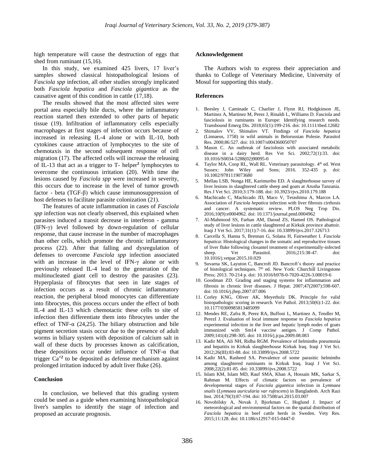high temperature will cause the destruction of eggs that shed from ruminant (15,16).

In this study, we examined 425 livers, 17 liver's samples showed classical histopathological lesions of *Fasciola spp* infection, all other studies strongly implicated both *Fasciola hepatica* and *Fasciola gigantica* as the causative agent of this condition in cattle (17,18).

The results showed that the most affected sites were portal area especially bile ducts, where the inflammatory reaction started then extended to other parts of hepatic tissue (19). Infiltration of inflammatory cells especially macrophages at first stages of infection occurs because of increased in releasing IL-4 alone or with IL-10, both cytokines cause attraction of lymphocytes to the site of chemotaxis in the second subsequent response of cell migration (17). The affected cells will increase the releasing of IL-13 that act as a trigger to T- helper**<sup>2</sup>** lymphocytes to overcome the continuous irritation (20). With time the lesions caused by *Fasciola spp* were increased in severity, this occurs due to increase in the level of tumor growth factor - beta (TGF-β) which cause immunosuppression of host defenses to facilitate parasite colonization (21).

The features of acute inflammation in cases of *Fasciola spp* infection was not clearly observed, this explained when parasites induced a transit decrease in interferon - gamma (IFN-γ) level followed by down-regulation of cellular response, that cause increase in the number of macrophages than other cells, which promote the chronic inflammatory process (22). After that falling and dysregulation of defenses to overcome *Fasciola spp* infection associated with an increase in the level of IFN-γ alone or with previously released IL-4 lead to the generation of the multinucleated giant cell to destroy the parasites (23). Hyperplasia of fibrocytes that seen in late stages of infection occurs as a result of chronic inflammatory reaction, the peripheral blood monocytes can differentiate into fibrocytes, this process occurs under the effect of both IL-4 and IL-13 which chemotactic these cells to site of infection then differentiate them into fibrocytes under the effect of TNF-α (24,25). The biliary obstruction and bile pigment secretion stasis occur due to the presence of adult worms in biliary system with deposition of calcium salt in wall of these ducts by processes known as calcification, these depositions occur under influence of TNF- $\alpha$  that trigger  $Ca^{+2}$  to be deposited as defense mechanism against prolonged irritation induced by adult liver fluke (26).

### **Conclusion**

In conclusion, we believed that this grading system could be used as a guide when examining histopathological liver's samples to identify the stage of infection and proposed an accurate prognosis.

#### **Acknowledgement**

The Authors wish to express their appreciation and thanks to College of Veterinary Medicine, University of Mosul for supporting this study.

## **References**

- 1. Beesley J, Caminade C, Charlier J, Flynn RJ, Hodgkinson JE, Martinez A, Martinez M, Perez J, Rinaldi L, Williams D. Fasciola and fasciolosis in ruminants in Europe: Identifying research needs. Transbound Emerg Dis. 2018;65(1):199-216. doi: 10.1111/tbed.12682
- 2. Shimalov VV, Shimalov VT. Findings of *Fasciola hepatica* (Linnaeus, 1758) in wild animals in Belorussian Polesie. Parasitol Res. 2000;86:527. doi: 10.1007/s004360050707
- 3. Mason C. An outbreak of fasciolosis with associated metabolic disease in a dairy herd. Res Vet Sci. 2002;72(1):33. doi: 10.1016/S0034-5288(02)90095-0
- Taylor MA, Coop RL, Wall RL. Veterinary parasitology. 4<sup>th</sup> ed. West Sussex: John Wiley and Sons; 2016. 352-435 p. doi: 10.1002/9781119073680
- 5. Mellau LSB, Nonga HE, Karimuribo ED. A slaughterhouse survey of liver lesions in slaughtered cattle sheep and goats at Arusha Tanzania. Res J Vet Sci. 2010;3:179-188. doi: 10.3923/rjvs.2010.179.188
- 6. Machicado C, Machicado JD, Maco V, Terashima A, Marcos LA. Association of *Fasciola hepatica* infection with liver fibrosis cirrhosis and cancer: A systematic review. PLOS Neg Trop Dis. 2016;10(9):e0004962. doi: 10.1371/journal.pntd.0004962
- 7. Al-Mahmood SS, Farhan AM, Daoud ZS, Hamed OS. Pathological study of liver lesions in cattle slaughtered at Kirkuk province abattoir. Iraqi J Vet Sci. 2017;31(1):7-16. doi: 10.33899/ijvs.2017.126713
- 8. Carcella S, Hanna S, Brennan G, Solana H, Fairweather I. *Fasciola hepatica*: Histological changes in the somatic and reproductive tissues of liver fluke following closantel treatment of experimentally-infected sheep. Vet Parasitol. 2016;215:38-47. doi: 10.1016/j.vetpar.2015.10.029
- 9. Suvarna SK, Layuton C, Bancroft JD. Bancroft's theory and practice of histological techniques.  $7<sup>th</sup>$  ed. New York: Churchill Livingstone Press; 2013. 70-214 p. doi: 10.1016/b978-0-7020-4226-3.00019-6
- 10. Goodman ZD. Grading and staging systems for inflammation and fibrosis in chronic liver diseases. J Hepat. 2007;47(2007):598-607. doi: 10.1016/j.jhep.2007.07.006
- 11. Corley KNG, Oliver AK, Meyerholz DK. Principle for valid histopathologic scoring in research. Vet Pathol. 2013;50(6):1-22. doi: 10.1177/0300985813485099
- 12. Mendes RE, Zafra R, Perez RA, Buffoni L, Martinez A, Tendler M, PerezI J. Evaluation of local immune response to *Fasciola hepatica* experimental infection in the liver and hepatic lymph nodes of goats immunized with Sm14 vaccine antigen. J Comp Pathol. 2009;141(4):298-305. doi: 10.1016/j.jcpa.2009.08.083
- 13. Kadir MA, Ali NH, Ridha RGM. Prevalence of helminths pneumonia and hepatitis in Kirkuk slaughterhouse Kirkuk Iraq. Iraqi J Vet Sci. 2012;26(III):83-88. doi: 10.33899/ijvs.2008.5722
- 14. Kadir MA, Rasheed SA. Prevalence of some parasitic helminths among slaughtered ruminants in Kirkuk Iraq. Iraqi J Vet Sci. 2008;22(2):81-85. doi: 10.33899/ijvs.2008.5722
- 15. Islam KM, Islam MD, Rauf SMA, Khan A, Hossain MK, Sarkar S, Rahman M. Effects of climatic factors on prevalence of developmental stages of *Fasciola gigantica* infection in *Lymnaea snails* (*Lymnaea auricularia var rufescens*) in Bangladesh. Arch Razi Inst. 2014;70(3):87-194. doi: 10.7508/ari.2015.03.007
- 16. Novobilsky A, Novak J, Bjorkman C, Hoglund J. Impact of meteorological and environmental factors on the spatial distribution of *Fasciola hepatica* in beef cattle herds in Sweden. Vety Res. 2015;11:128. doi: 10.1186/s12917-015-0447-0